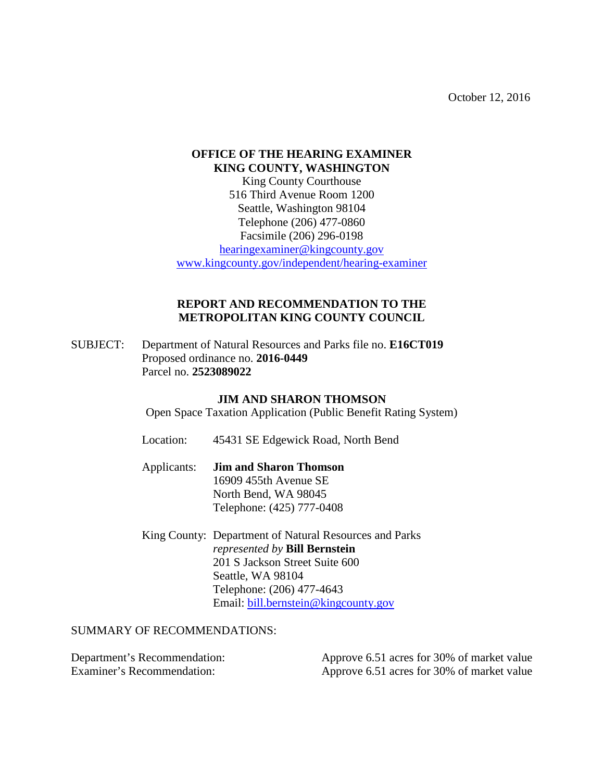October 12, 2016

## **OFFICE OF THE HEARING EXAMINER KING COUNTY, WASHINGTON**

King County Courthouse 516 Third Avenue Room 1200 Seattle, Washington 98104 Telephone (206) 477-0860 Facsimile (206) 296-0198 [hearingexaminer@kingcounty.gov](mailto:hearingexaminer@kingcounty.gov)

[www.kingcounty.gov/independent/hearing-examiner](http://www.kingcounty.gov/independent/hearing-examiner)

## **REPORT AND RECOMMENDATION TO THE METROPOLITAN KING COUNTY COUNCIL**

SUBJECT: Department of Natural Resources and Parks file no. **E16CT019** Proposed ordinance no. **2016-0449** Parcel no. **2523089022**

## **JIM AND SHARON THOMSON**

Open Space Taxation Application (Public Benefit Rating System)

- Location: 45431 SE Edgewick Road, North Bend
- Applicants: **Jim and Sharon Thomson** 16909 455th Avenue SE North Bend, WA 98045 Telephone: (425) 777-0408
- King County: Department of Natural Resources and Parks *represented by* **Bill Bernstein** 201 S Jackson Street Suite 600 Seattle, WA 98104 Telephone: (206) 477-4643 Email: [bill.bernstein@kingcounty.gov](mailto:bill.bernstein@kingcounty.gov)

## SUMMARY OF RECOMMENDATIONS:

| Department's Recommendation: | Approve 6.51 acres for 30% of market value |
|------------------------------|--------------------------------------------|
| Examiner's Recommendation:   | Approve 6.51 acres for 30% of market value |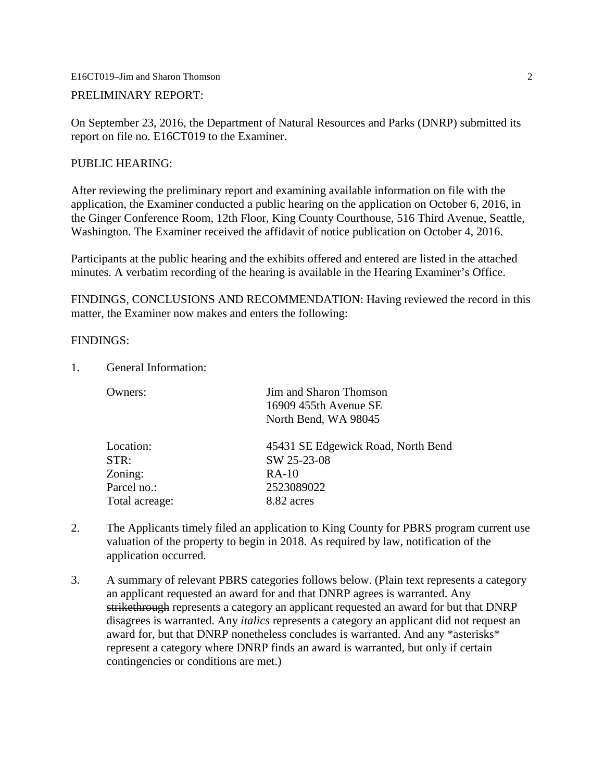E16CT019–Jim and Sharon Thomson 2

PRELIMINARY REPORT:

On September 23, 2016, the Department of Natural Resources and Parks (DNRP) submitted its report on file no. E16CT019 to the Examiner.

## PUBLIC HEARING:

After reviewing the preliminary report and examining available information on file with the application, the Examiner conducted a public hearing on the application on October 6, 2016, in the Ginger Conference Room, 12th Floor, King County Courthouse, 516 Third Avenue, Seattle, Washington. The Examiner received the affidavit of notice publication on October 4, 2016.

Participants at the public hearing and the exhibits offered and entered are listed in the attached minutes. A verbatim recording of the hearing is available in the Hearing Examiner's Office.

FINDINGS, CONCLUSIONS AND RECOMMENDATION: Having reviewed the record in this matter, the Examiner now makes and enters the following:

#### FINDINGS:

1. General Information:

| Jim and Sharon Thomson             |  |
|------------------------------------|--|
| 16909 455th Avenue SE              |  |
| North Bend, WA 98045               |  |
| 45431 SE Edgewick Road, North Bend |  |
| SW 25-23-08                        |  |
| $RA-10$                            |  |
| 2523089022                         |  |
| 8.82 acres                         |  |
|                                    |  |

- 2. The Applicants timely filed an application to King County for PBRS program current use valuation of the property to begin in 2018. As required by law, notification of the application occurred.
- 3. A summary of relevant PBRS categories follows below. (Plain text represents a category an applicant requested an award for and that DNRP agrees is warranted. Any strikethrough represents a category an applicant requested an award for but that DNRP disagrees is warranted. Any *italics* represents a category an applicant did not request an award for, but that DNRP nonetheless concludes is warranted. And any \*asterisks\* represent a category where DNRP finds an award is warranted, but only if certain contingencies or conditions are met.)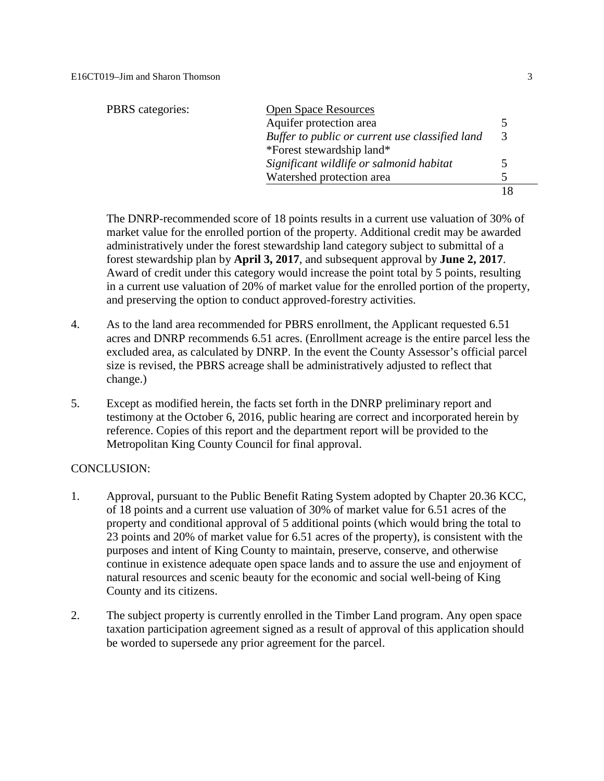| <b>PBRS</b> categories: | <b>Open Space Resources</b>                     |   |
|-------------------------|-------------------------------------------------|---|
|                         | Aquifer protection area                         |   |
|                         | Buffer to public or current use classified land | 3 |
|                         | *Forest stewardship land*                       |   |
|                         | Significant wildlife or salmonid habitat        |   |
|                         | Watershed protection area                       |   |
|                         |                                                 |   |

The DNRP-recommended score of 18 points results in a current use valuation of 30% of market value for the enrolled portion of the property. Additional credit may be awarded administratively under the forest stewardship land category subject to submittal of a forest stewardship plan by **April 3, 2017**, and subsequent approval by **June 2, 2017**. Award of credit under this category would increase the point total by 5 points, resulting in a current use valuation of 20% of market value for the enrolled portion of the property, and preserving the option to conduct approved-forestry activities.

- 4. As to the land area recommended for PBRS enrollment, the Applicant requested 6.51 acres and DNRP recommends 6.51 acres. (Enrollment acreage is the entire parcel less the excluded area, as calculated by DNRP. In the event the County Assessor's official parcel size is revised, the PBRS acreage shall be administratively adjusted to reflect that change.)
- 5. Except as modified herein, the facts set forth in the DNRP preliminary report and testimony at the October 6, 2016, public hearing are correct and incorporated herein by reference. Copies of this report and the department report will be provided to the Metropolitan King County Council for final approval.

### CONCLUSION:

- 1. Approval, pursuant to the Public Benefit Rating System adopted by Chapter 20.36 KCC, of 18 points and a current use valuation of 30% of market value for 6.51 acres of the property and conditional approval of 5 additional points (which would bring the total to 23 points and 20% of market value for 6.51 acres of the property), is consistent with the purposes and intent of King County to maintain, preserve, conserve, and otherwise continue in existence adequate open space lands and to assure the use and enjoyment of natural resources and scenic beauty for the economic and social well-being of King County and its citizens.
- 2. The subject property is currently enrolled in the Timber Land program. Any open space taxation participation agreement signed as a result of approval of this application should be worded to supersede any prior agreement for the parcel.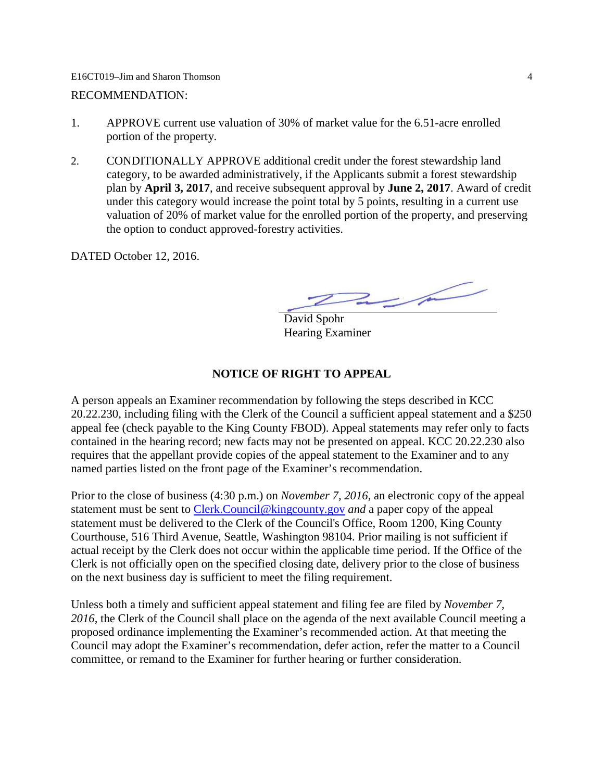#### E16CT019–Jim and Sharon Thomson 4

#### RECOMMENDATION:

- 1. APPROVE current use valuation of 30% of market value for the 6.51-acre enrolled portion of the property.
- 2. CONDITIONALLY APPROVE additional credit under the forest stewardship land category, to be awarded administratively, if the Applicants submit a forest stewardship plan by **April 3, 2017**, and receive subsequent approval by **June 2, 2017**. Award of credit under this category would increase the point total by 5 points, resulting in a current use valuation of 20% of market value for the enrolled portion of the property, and preserving the option to conduct approved-forestry activities.

DATED October 12, 2016.

 $2\mu$ 

David Spohr Hearing Examiner

## **NOTICE OF RIGHT TO APPEAL**

A person appeals an Examiner recommendation by following the steps described in KCC 20.22.230, including filing with the Clerk of the Council a sufficient appeal statement and a \$250 appeal fee (check payable to the King County FBOD). Appeal statements may refer only to facts contained in the hearing record; new facts may not be presented on appeal. KCC 20.22.230 also requires that the appellant provide copies of the appeal statement to the Examiner and to any named parties listed on the front page of the Examiner's recommendation.

Prior to the close of business (4:30 p.m.) on *November 7, 2016,* an electronic copy of the appeal statement must be sent to [Clerk.Council@kingcounty.gov](mailto:Clerk.Council@kingcounty.gov) *and* a paper copy of the appeal statement must be delivered to the Clerk of the Council's Office, Room 1200, King County Courthouse, 516 Third Avenue, Seattle, Washington 98104. Prior mailing is not sufficient if actual receipt by the Clerk does not occur within the applicable time period. If the Office of the Clerk is not officially open on the specified closing date, delivery prior to the close of business on the next business day is sufficient to meet the filing requirement.

Unless both a timely and sufficient appeal statement and filing fee are filed by *November 7, 2016,* the Clerk of the Council shall place on the agenda of the next available Council meeting a proposed ordinance implementing the Examiner's recommended action. At that meeting the Council may adopt the Examiner's recommendation, defer action, refer the matter to a Council committee, or remand to the Examiner for further hearing or further consideration.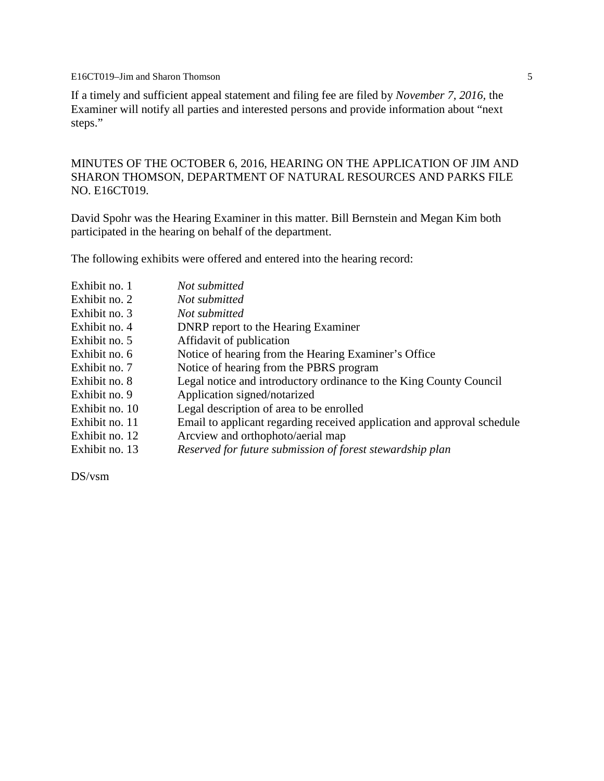E16CT019–Jim and Sharon Thomson 5

If a timely and sufficient appeal statement and filing fee are filed by *November 7, 2016,* the Examiner will notify all parties and interested persons and provide information about "next steps."

MINUTES OF THE OCTOBER 6, 2016, HEARING ON THE APPLICATION OF JIM AND SHARON THOMSON, DEPARTMENT OF NATURAL RESOURCES AND PARKS FILE NO. E16CT019.

David Spohr was the Hearing Examiner in this matter. Bill Bernstein and Megan Kim both participated in the hearing on behalf of the department.

The following exhibits were offered and entered into the hearing record:

| Exhibit no. 1  | Not submitted                                                           |
|----------------|-------------------------------------------------------------------------|
| Exhibit no. 2  | Not submitted                                                           |
| Exhibit no. 3  | Not submitted                                                           |
| Exhibit no. 4  | <b>DNRP</b> report to the Hearing Examiner                              |
| Exhibit no. 5  | Affidavit of publication                                                |
| Exhibit no. 6  | Notice of hearing from the Hearing Examiner's Office                    |
| Exhibit no. 7  | Notice of hearing from the PBRS program                                 |
| Exhibit no. 8  | Legal notice and introductory ordinance to the King County Council      |
| Exhibit no. 9  | Application signed/notarized                                            |
| Exhibit no. 10 | Legal description of area to be enrolled                                |
| Exhibit no. 11 | Email to applicant regarding received application and approval schedule |
| Exhibit no. 12 | Arcview and orthophoto/aerial map                                       |
| Exhibit no. 13 | Reserved for future submission of forest stewardship plan               |
|                |                                                                         |

DS/vsm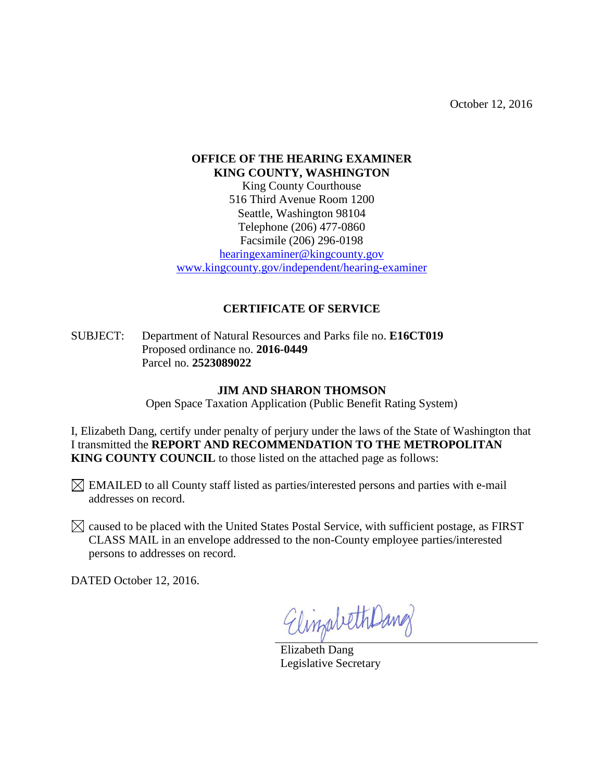October 12, 2016

# **OFFICE OF THE HEARING EXAMINER KING COUNTY, WASHINGTON**

King County Courthouse 516 Third Avenue Room 1200 Seattle, Washington 98104 Telephone (206) 477-0860 Facsimile (206) 296-0198

[hearingexaminer@kingcounty.gov](mailto:hearingexaminer@kingcounty.gov) [www.kingcounty.gov/independent/hearing-examiner](http://www.kingcounty.gov/independent/hearing-examiner)

## **CERTIFICATE OF SERVICE**

SUBJECT: Department of Natural Resources and Parks file no. **E16CT019** Proposed ordinance no. **2016-0449** Parcel no. **2523089022**

## **JIM AND SHARON THOMSON**

Open Space Taxation Application (Public Benefit Rating System)

I, Elizabeth Dang, certify under penalty of perjury under the laws of the State of Washington that I transmitted the **REPORT AND RECOMMENDATION TO THE METROPOLITAN KING COUNTY COUNCIL** to those listed on the attached page as follows:

 $\boxtimes$  EMAILED to all County staff listed as parties/interested persons and parties with e-mail addresses on record.

 $\boxtimes$  caused to be placed with the United States Postal Service, with sufficient postage, as FIRST CLASS MAIL in an envelope addressed to the non-County employee parties/interested persons to addresses on record.

DATED October 12, 2016.

ElingabethDang

Elizabeth Dang Legislative Secretary